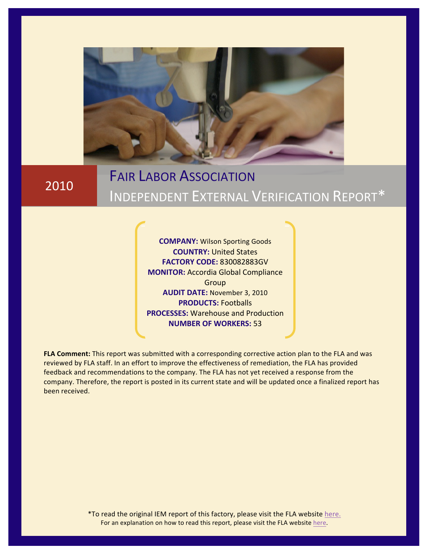

2010

# **FAIR LABOR ASSOCIATION** INDEPENDENT EXTERNAL VERIFICATION REPORT\*

**COMPANY: Wilson Sporting Goods COUNTRY: United States FACTORY!CODE:** 830082883GV **MONITOR: Accordia Global Compliance** Group **AUDIT DATE: November 3, 2010 PRODUCTS:** Footballs **PROCESSES: Warehouse and Production NUMBER OF WORKERS: 53** 

FLA Comment: This report was submitted with a corresponding corrective action plan to the FLA and was reviewed by FLA staff. In an effort to improve the effectiveness of remediation, the FLA has provided feedback and recommendations to the company. The FLA has not yet received a response from the company. Therefore, the report is posted in its current state and will be updated once a finalized report has been received.

> \*To read the original IEM report of this factory, please visit the FLA website [here](https://portal.fairlabor.org/fla/go.asp?u=/pub/zTr5&tm=5&Rid=600&Fdn=11&Fna=830082883G%5FUnited+States%2Epdf). For an explanation on how to read this report, please visit the FLA website here.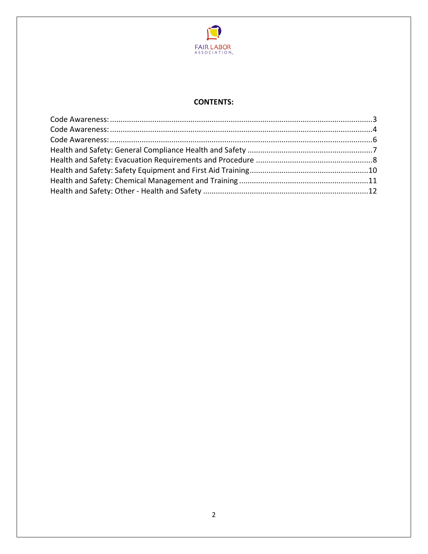

## **CONTENTS:**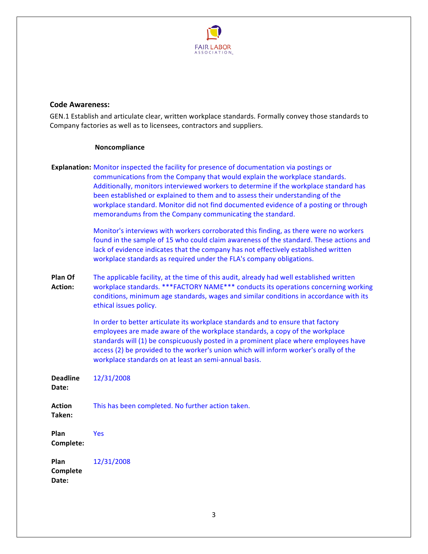

## <span id="page-2-0"></span>**Code!Awareness:**

GEN.1 Establish and articulate clear, written workplace standards. Formally convey those standards to Company factories as well as to licensees, contractors and suppliers.

## **Noncompliance**

|                           | <b>Explanation:</b> Monitor inspected the facility for presence of documentation via postings or<br>communications from the Company that would explain the workplace standards.<br>Additionally, monitors interviewed workers to determine if the workplace standard has<br>been established or explained to them and to assess their understanding of the<br>workplace standard. Monitor did not find documented evidence of a posting or through<br>memorandums from the Company communicating the standard.<br>Monitor's interviews with workers corroborated this finding, as there were no workers<br>found in the sample of 15 who could claim awareness of the standard. These actions and |
|---------------------------|---------------------------------------------------------------------------------------------------------------------------------------------------------------------------------------------------------------------------------------------------------------------------------------------------------------------------------------------------------------------------------------------------------------------------------------------------------------------------------------------------------------------------------------------------------------------------------------------------------------------------------------------------------------------------------------------------|
|                           | lack of evidence indicates that the company has not effectively established written<br>workplace standards as required under the FLA's company obligations.                                                                                                                                                                                                                                                                                                                                                                                                                                                                                                                                       |
| Plan Of<br><b>Action:</b> | The applicable facility, at the time of this audit, already had well established written<br>workplace standards. *** FACTORY NAME*** conducts its operations concerning working<br>conditions, minimum age standards, wages and similar conditions in accordance with its<br>ethical issues policy.                                                                                                                                                                                                                                                                                                                                                                                               |
|                           | In order to better articulate its workplace standards and to ensure that factory<br>employees are made aware of the workplace standards, a copy of the workplace<br>standards will (1) be conspicuously posted in a prominent place where employees have<br>access (2) be provided to the worker's union which will inform worker's orally of the<br>workplace standards on at least an semi-annual basis.                                                                                                                                                                                                                                                                                        |
| <b>Deadline</b><br>Date:  | 12/31/2008                                                                                                                                                                                                                                                                                                                                                                                                                                                                                                                                                                                                                                                                                        |
| <b>Action</b><br>Taken:   | This has been completed. No further action taken.                                                                                                                                                                                                                                                                                                                                                                                                                                                                                                                                                                                                                                                 |
| Plan<br>Complete:         | Yes                                                                                                                                                                                                                                                                                                                                                                                                                                                                                                                                                                                                                                                                                               |
| Plan<br>Complete<br>Date: | 12/31/2008                                                                                                                                                                                                                                                                                                                                                                                                                                                                                                                                                                                                                                                                                        |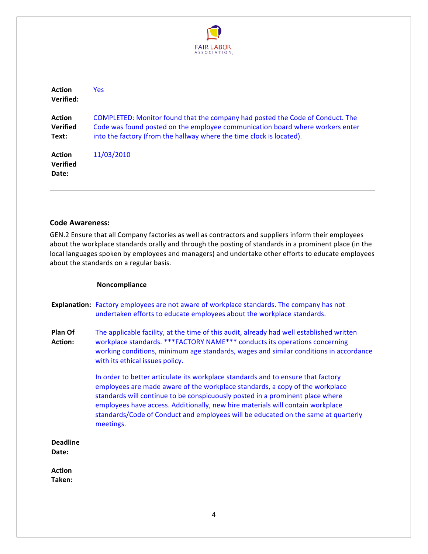

<span id="page-3-0"></span>

| Action<br>Verified:                       | Yes:                                                                                                                                                                                                                                   |
|-------------------------------------------|----------------------------------------------------------------------------------------------------------------------------------------------------------------------------------------------------------------------------------------|
| <b>Action</b><br><b>Verified</b><br>Text: | COMPLETED: Monitor found that the company had posted the Code of Conduct. The<br>Code was found posted on the employee communication board where workers enter<br>into the factory (from the hallway where the time clock is located). |
| <b>Action</b><br><b>Verified</b><br>Date: | 11/03/2010                                                                                                                                                                                                                             |

#### **Code!Awareness:**

GEN.2 Ensure that all Company factories as well as contractors and suppliers inform their employees about the workplace standards orally and through the posting of standards in a prominent place (in the local languages spoken by employees and managers) and undertake other efforts to educate employees about the standards on a regular basis.

#### **Noncompliance**

**Explanation:** Factory employees are not aware of workplace standards. The company has not undertaken efforts to educate employees about the workplace standards.

**Plan!Of!** Action: The applicable facility, at the time of this audit, already had well established written workplace standards. \*\*\*FACTORY NAME\*\*\* conducts its operations concerning working conditions, minimum age standards, wages and similar conditions in accordance with its ethical issues policy.

> In order to better articulate its workplace standards and to ensure that factory employees are made aware of the workplace standards, a copy of the workplace standards will continue to be conspicuously posted in a prominent place where employees have access. Additionally, new hire materials will contain workplace standards/Code of Conduct and employees will be educated on the same at quarterly meetings.

**Deadline!** Date:

**Action Taken:!**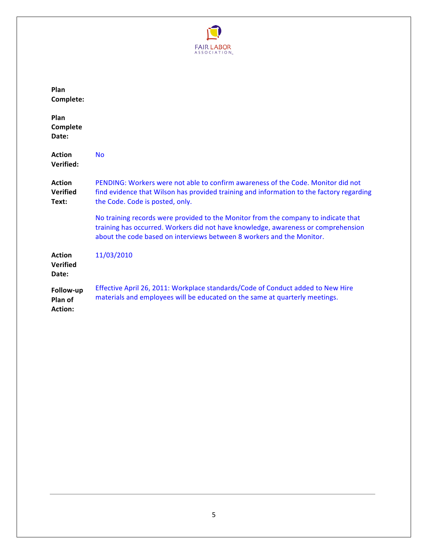

| Plan<br>Complete:                         |                                                                                                                                                                                                                                                  |
|-------------------------------------------|--------------------------------------------------------------------------------------------------------------------------------------------------------------------------------------------------------------------------------------------------|
| Plan<br>Complete<br>Date:                 |                                                                                                                                                                                                                                                  |
| <b>Action</b><br>Verified:                | <b>No</b>                                                                                                                                                                                                                                        |
| <b>Action</b><br><b>Verified</b><br>Text: | PENDING: Workers were not able to confirm awareness of the Code. Monitor did not<br>find evidence that Wilson has provided training and information to the factory regarding<br>the Code. Code is posted, only.                                  |
|                                           | No training records were provided to the Monitor from the company to indicate that<br>training has occurred. Workers did not have knowledge, awareness or comprehension<br>about the code based on interviews between 8 workers and the Monitor. |
| Action<br><b>Verified</b><br>Date:        | 11/03/2010                                                                                                                                                                                                                                       |
| Follow-up<br>Plan of<br><b>Action:</b>    | Effective April 26, 2011: Workplace standards/Code of Conduct added to New Hire<br>materials and employees will be educated on the same at quarterly meetings.                                                                                   |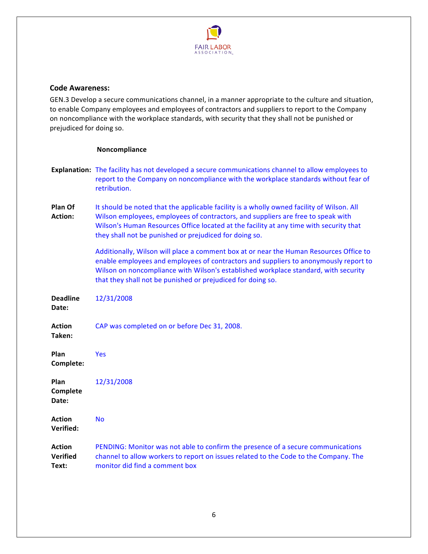

## <span id="page-5-0"></span>**Code!Awareness:**

GEN.3 Develop a secure communications channel, in a manner appropriate to the culture and situation, to enable Company employees and employees of contractors and suppliers to report to the Company on noncompliance with the workplace standards, with security that they shall not be punished or prejudiced for doing so.

#### **Noncompliance**

- **Explanation:** The facility has not developed a secure communications channel to allow employees to report to the Company on noncompliance with the workplace standards without fear of retribution.
- **Plan!Of!** Action: It should be noted that the applicable facility is a wholly owned facility of Wilson. All Wilson employees, employees of contractors, and suppliers are free to speak with Wilson's Human Resources Office located at the facility at any time with security that they shall not be punished or prejudiced for doing so.

Additionally, Wilson will place a comment box at or near the Human Resources Office to enable employees and employees of contractors and suppliers to anonymously report to Wilson on noncompliance with Wilson's established workplace standard, with security that they shall not be punished or prejudiced for doing so.

| <b>Deadline</b><br>Date:                  | 12/31/2008                                                                                                                                                                                                 |
|-------------------------------------------|------------------------------------------------------------------------------------------------------------------------------------------------------------------------------------------------------------|
| <b>Action</b><br>Taken:                   | CAP was completed on or before Dec 31, 2008.                                                                                                                                                               |
| <b>Plan</b><br>Complete:                  | <b>Yes</b>                                                                                                                                                                                                 |
| <b>Plan</b><br>Complete<br>Date:          | 12/31/2008                                                                                                                                                                                                 |
| <b>Action</b><br>Verified:                | <b>No</b>                                                                                                                                                                                                  |
| <b>Action</b><br><b>Verified</b><br>Text: | PENDING: Monitor was not able to confirm the presence of a secure communications<br>channel to allow workers to report on issues related to the Code to the Company. The<br>monitor did find a comment box |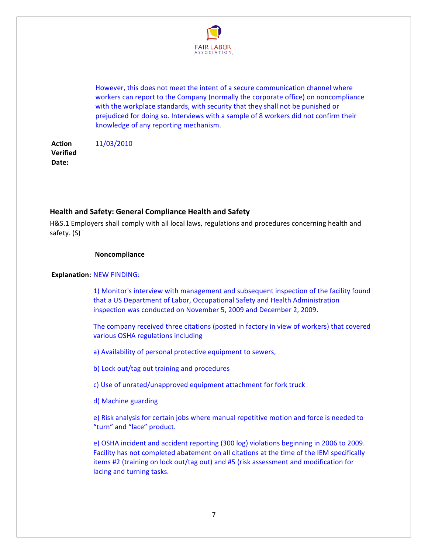

<span id="page-6-0"></span>However, this does not meet the intent of a secure communication channel where workers can report to the Company (normally the corporate office) on noncompliance with the workplace standards, with security that they shall not be punished or prejudiced for doing so. Interviews with a sample of 8 workers did not confirm their knowledge of any reporting mechanism.

**Action! Verified!** Date: 11/03/2010

## **Health and Safety: General Compliance Health and Safety**

H&S.1 Employers shall comply with all local laws, regulations and procedures concerning health and safety. (S)

#### **Noncompliance**

#### **Explanation: NEW FINDING:**

1) Monitor's interview with management and subsequent inspection of the facility found that a US Department of Labor, Occupational Safety and Health Administration inspection was conducted on November 5, 2009 and December 2, 2009.

The company received three citations (posted in factory in view of workers) that covered various OSHA regulations including

a) Availability of personal protective equipment to sewers,

b) Lock out/tag out training and procedures

c) Use of unrated/unapproved equipment attachment for fork truck

d) Machine guarding

e) Risk analysis for certain jobs where manual repetitive motion and force is needed to "turn" and "lace" product.

e) OSHA incident and accident reporting (300 log) violations beginning in 2006 to 2009. Facility has not completed abatement on all citations at the time of the IEM specifically items #2 (training on lock out/tag out) and #5 (risk assessment and modification for lacing and turning tasks.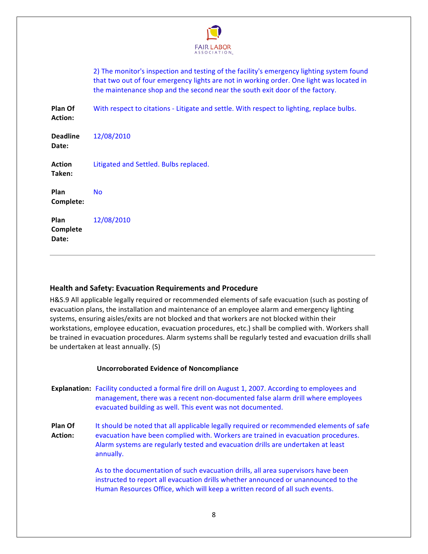

<span id="page-7-0"></span>

|                                  | 2) The monitor's inspection and testing of the facility's emergency lighting system found<br>that two out of four emergency lights are not in working order. One light was located in<br>the maintenance shop and the second near the south exit door of the factory. |
|----------------------------------|-----------------------------------------------------------------------------------------------------------------------------------------------------------------------------------------------------------------------------------------------------------------------|
| Plan Of<br><b>Action:</b>        | With respect to citations - Litigate and settle. With respect to lighting, replace bulbs.                                                                                                                                                                             |
| Deadline<br><b>Date:</b>         | 12/08/2010                                                                                                                                                                                                                                                            |
| Action<br>Taken:                 | Litigated and Settled. Bulbs replaced.                                                                                                                                                                                                                                |
| <b>Plan</b><br>Complete:         | <b>No</b>                                                                                                                                                                                                                                                             |
| Plan<br>Complete<br><b>Date:</b> | 12/08/2010                                                                                                                                                                                                                                                            |

## **Health!and!Safety: Evacuation!Requirements!and!Procedure**

H&S.9 All applicable legally required or recommended elements of safe evacuation (such as posting of evacuation plans, the installation and maintenance of an employee alarm and emergency lighting systems, ensuring aisles/exits are not blocked and that workers are not blocked within their workstations, employee education, evacuation procedures, etc.) shall be complied with. Workers shall be trained in evacuation procedures. Alarm systems shall be regularly tested and evacuation drills shall be undertaken at least annually.  $(S)$ 

## **Uncorroborated Evidence of Noncompliance**

- **Explanation:** Facility conducted a formal fire drill on August 1, 2007. According to employees and management, there was a recent non-documented false alarm drill where employees evacuated building as well. This event was not documented.
- **Plan!Of!** Action: It should be noted that all applicable legally required or recommended elements of safe evacuation have been complied with. Workers are trained in evacuation procedures. Alarm systems are regularly tested and evacuation drills are undertaken at least annually.

As to the documentation of such evacuation drills, all area supervisors have been instructed to report all evacuation drills whether announced or unannounced to the Human Resources Office, which will keep a written record of all such events.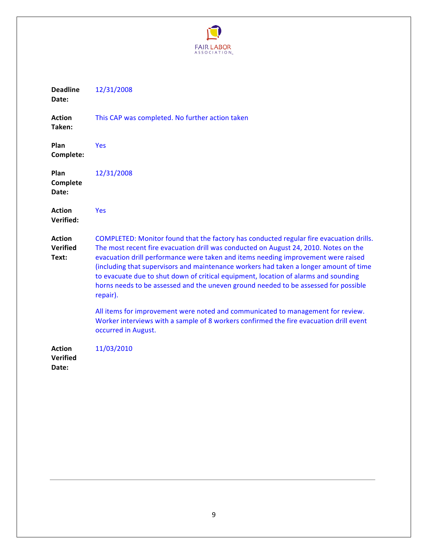

| <b>Deadline</b><br>Date:                  | 12/31/2008                                                                                                                                                                                                                                                                                                                                                                                                                                                                                                                                              |
|-------------------------------------------|---------------------------------------------------------------------------------------------------------------------------------------------------------------------------------------------------------------------------------------------------------------------------------------------------------------------------------------------------------------------------------------------------------------------------------------------------------------------------------------------------------------------------------------------------------|
| <b>Action</b><br>Taken:                   | This CAP was completed. No further action taken                                                                                                                                                                                                                                                                                                                                                                                                                                                                                                         |
| Plan<br>Complete:                         | <b>Yes</b>                                                                                                                                                                                                                                                                                                                                                                                                                                                                                                                                              |
| Plan<br>Complete<br>Date:                 | 12/31/2008                                                                                                                                                                                                                                                                                                                                                                                                                                                                                                                                              |
| <b>Action</b><br>Verified:                | Yes                                                                                                                                                                                                                                                                                                                                                                                                                                                                                                                                                     |
| <b>Action</b><br><b>Verified</b><br>Text: | COMPLETED: Monitor found that the factory has conducted regular fire evacuation drills.<br>The most recent fire evacuation drill was conducted on August 24, 2010. Notes on the<br>evacuation drill performance were taken and items needing improvement were raised<br>(including that supervisors and maintenance workers had taken a longer amount of time<br>to evacuate due to shut down of critical equipment, location of alarms and sounding<br>horns needs to be assessed and the uneven ground needed to be assessed for possible<br>repair). |
|                                           | All items for improvement were noted and communicated to management for review.<br>Worker interviews with a sample of 8 workers confirmed the fire evacuation drill event<br>occurred in August.                                                                                                                                                                                                                                                                                                                                                        |
| <b>Action</b><br><b>Verified</b><br>Date: | 11/03/2010                                                                                                                                                                                                                                                                                                                                                                                                                                                                                                                                              |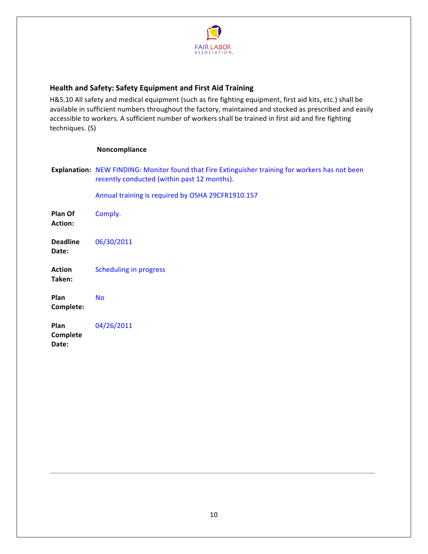

# <span id="page-9-0"></span>**Health!and!Safety: Safety!Equipment!and!First!Aid!Training**

H&S.10 All safety and medical equipment (such as fire fighting equipment, first aid kits, etc.) shall be available in sufficient numbers throughout the factory, maintained and stocked as prescribed and easily accessible to workers. A sufficient number of workers shall be trained in first aid and fire fighting techniques. (S)

#### **Noncompliance**

Explanation: NEW FINDING: Monitor found that Fire Extinguisher training for workers has not been recently conducted (within past 12 months).

Annual training is required by OSHA 29CFR1910.157

**Plan!Of!** Action: Comply. **Deadline!** Date: 06/30/2011 **Action! Taken:!** Scheduling in progress **Plan! Complete:!** No **Plan!** 04/26/2011

**Complete!** Date: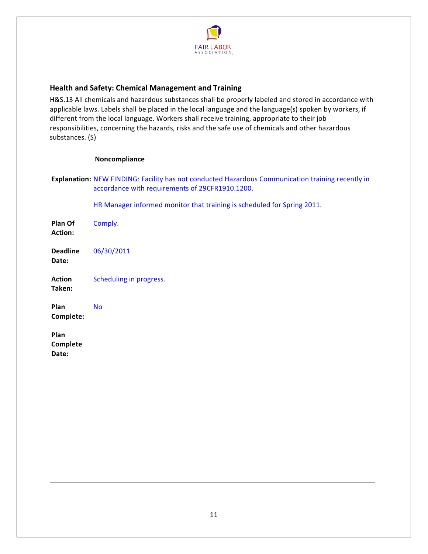

## <span id="page-10-0"></span>**Health!and!Safety: Chemical!Management!and!Training**

H&S.13 All chemicals and hazardous substances shall be properly labeled and stored in accordance with applicable laws. Labels shall be placed in the local language and the language(s) spoken by workers, if different from the local language. Workers shall receive training, appropriate to their job responsibilities, concerning the hazards, risks and the safe use of chemicals and other hazardous substances. (S)

## **Noncompliance**

|                           | <b>Explanation:</b> NEW FINDING: Facility has not conducted Hazardous Communication training recently in<br>accordance with requirements of 29CFR1910.1200. |
|---------------------------|-------------------------------------------------------------------------------------------------------------------------------------------------------------|
|                           | HR Manager informed monitor that training is scheduled for Spring 2011.                                                                                     |
| Plan Of<br><b>Action:</b> | Comply.                                                                                                                                                     |
| <b>Deadline</b><br>Date:  | 06/30/2011                                                                                                                                                  |
| <b>Action</b><br>Taken:   | Scheduling in progress.                                                                                                                                     |
| Plan<br>Complete:         | <b>No</b>                                                                                                                                                   |
| Plan<br>Complete<br>Date: |                                                                                                                                                             |